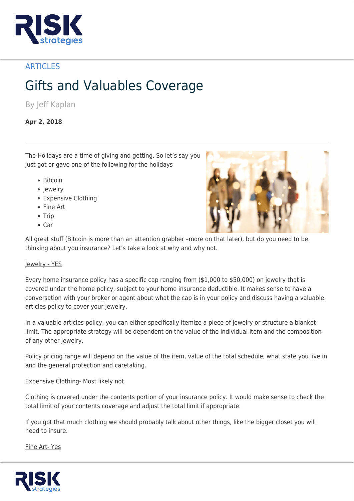

## **ARTICLES**

# Gifts and Valuables Coverage

By Jeff Kaplan

### **Apr 2, 2018**

The Holidays are a time of giving and getting. So let's say you just got or gave one of the following for the holidays

- Bitcoin
- Jewelry
- Expensive Clothing
- Fine Art
- $\bullet$  Trip
- $\bullet$  Car



All great stuff (Bitcoin is more than an attention grabber –more on that later), but do you need to be thinking about you insurance? Let's take a look at why and why not.

#### Jewelry - YES

Every home insurance policy has a specific cap ranging from (\$1,000 to \$50,000) on jewelry that is covered under the home policy, subject to your home insurance deductible. It makes sense to have a conversation with your broker or agent about what the cap is in your policy and discuss having a valuable articles policy to cover your jewelry.

In a valuable articles policy, you can either specifically itemize a piece of jewelry or structure a blanket limit. The appropriate strategy will be dependent on the value of the individual item and the composition of any other jewelry.

Policy pricing range will depend on the value of the item, value of the total schedule, what state you live in and the general protection and caretaking.

#### Expensive Clothing- Most likely not

Clothing is covered under the contents portion of your insurance policy. It would make sense to check the total limit of your contents coverage and adjust the total limit if appropriate.

If you got that much clothing we should probably talk about other things, like the bigger closet you will need to insure.

Fine Art- Yes